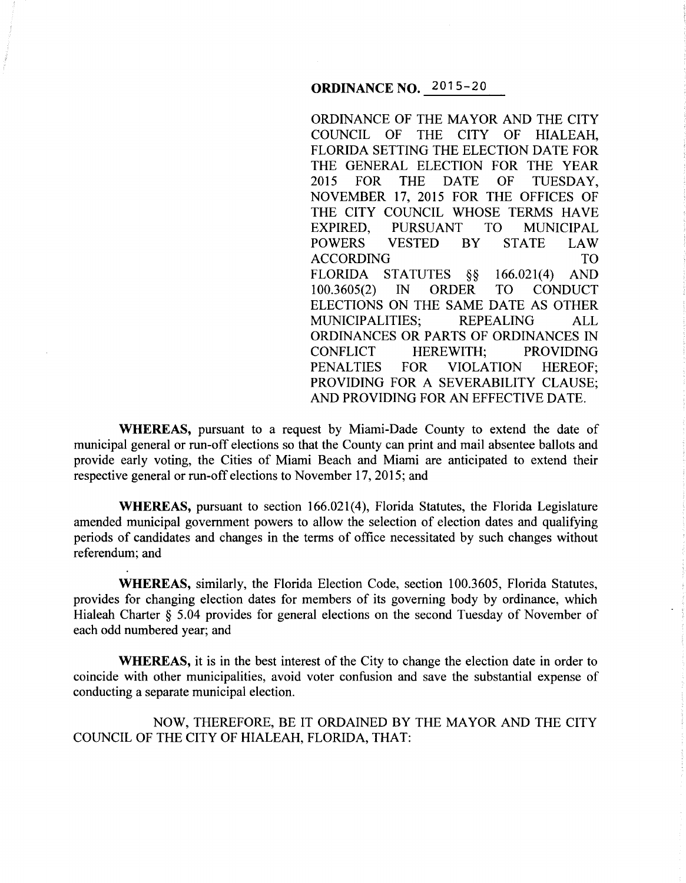**ORDINANCE NO.** 2015-20

ORDINANCE OF THE MAYOR AND THE CITY COUNCIL OF THE CITY OF HIALEAH, FLORIDA SETTING THE ELECTION DATE FOR THE GENERAL ELECTION FOR THE YEAR 2015 FOR THE DATE OF TUESDAY, NOVEMBER 17, 2015 FOR THE OFFICES OF THE CITY COUNCIL WHOSE TERMS HAVE EXPIRED, PURSUANT TO MUNICIPAL POWERS VESTED BY STATE LAW ACCORDING TO FLORIDA STATUTES *§§* 166.021(4) AND 100.3605(2) IN ORDER TO CONDUCT ELECTIONS ON THE SAME DATE AS OTHER MUNICIPALITIES; REPEALING ALL ORDINANCES OR PARTS OF ORDINANCES IN CONFLICT HEREWITH; PROVIDING PENALTIES FOR VIOLATION HEREOF; PROVIDING FOR A SEVERABILITY CLAUSE; AND PROVIDING FOR AN EFFECTIVE DATE.

**WHEREAS,** pursuant to a request by Miami-Dade County to extend the date of municipal general or run-off elections so that the County can print and mail absentee ballots and provide early voting, the Cities of Miami Beach and Miami are anticipated to extend their respective general or run-off elections to November 17, 2015; and

**WHEREAS,** pursuant to section 166.021(4), Florida Statutes, the Florida Legislature amended municipal government powers to allow the selection of election dates and qualifying periods of candidates and changes in the terms of office necessitated by such changes without referendum; and

**WHEREAS,** similarly, the Florida Election Code, section 100.3605, Florida Statutes, provides for changing election dates for members of its governing body by ordinance, which Hialeah Charter *§* 5.04 provides for general elections on the second Tuesday of November of each odd numbered year; and

**WHEREAS,** it is in the best interest of the City to change the election date in order to coincide with other municipalities, avoid voter confusion and save the substantial expense of conducting a separate municipal election.

NOW, THEREFORE, BE IT ORDAINED BY THE MAYOR AND THE CITY COUNCIL OF THE CITY OF HIALEAH, FLORIDA, THAT: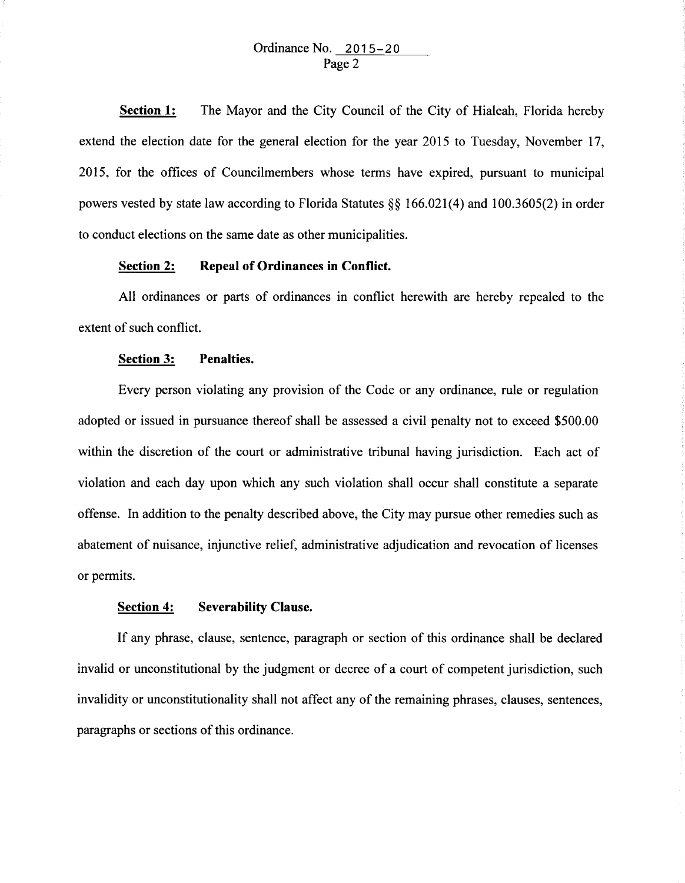**Section 1:**  The Mayor and the City Council of the City of Hialeah, Florida hereby extend the election date for the general election for the year 2015 to Tuesday, November 17, 2015, for the offices of Councilmembers whose terms have expired, pursuant to municipal powers vested by state law according to Florida Statutes§§ 166.021(4) and 100.3605(2) in order to conduct elections on the same date as other municipalities.

## **Section 2: Repeal of Ordinances in Conflict.**

All ordinances or parts of ordinances in conflict herewith are hereby repealed to the extent of such conflict.

## **Section 3: Penalties.**

Every person violating any provision of the Code or any ordinance, rule or regulation adopted or issued in pursuance thereof shall be assessed a civil penalty not to exceed \$500.00 within the discretion of the court or administrative tribunal having jurisdiction. Each act of violation and each day upon which any such violation shall occur shall constitute a separate offense. In addition to the penalty described above, the City may pursue other remedies such as abatement of nuisance, injunctive relief, administrative adjudication and revocation of licenses or permits.

## **Section 4: Severability Clause.**

If any phrase, clause, sentence, paragraph or section of this ordinance shall be declared invalid or unconstitutional by the judgment or decree of a court of competent jurisdiction, such invalidity or unconstitutionality shall not affect any of the remaining phrases, clauses, sentences, paragraphs or sections of this ordinance.